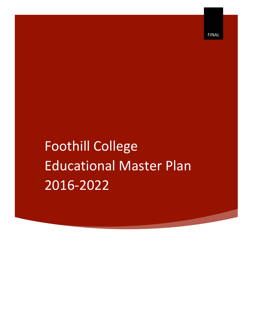Foothill College **Educational Master Plan** 201692022

FINAL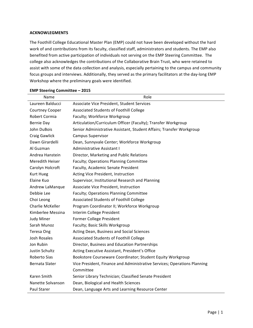## **ACKNOWLEGMENTS**

The Foothill College Educational Master Plan (EMP) could not have been developed without the hard work of and contributions from its faculty, classified staff, administrators and students. The EMP also benefited from active participation of individuals not serving on the EMP Steering Committee. The college also acknowledges the contributions of the Collaborative Brain Trust, who were retained to assist with some of the data collection and analysis, especially pertaining to the campus and community focus groups and interviews. Additionally, they served as the primary facilitators at the day-long EMP Workshop where the preliminary goals were identified.

| Name                   | Role                                                                     |  |  |  |  |
|------------------------|--------------------------------------------------------------------------|--|--|--|--|
| Laureen Balducci       | Associate Vice President, Student Services                               |  |  |  |  |
| <b>Courtney Cooper</b> | Associated Students of Foothill College                                  |  |  |  |  |
| Robert Cormia          | Faculty; Workforce Workgroup                                             |  |  |  |  |
| Bernie Day             | Articulation/Curriculum Officer (Faculty); Transfer Workgroup            |  |  |  |  |
| John DuBois            | Senior Administrative Assistant, Student Affairs; Transfer Workgroup     |  |  |  |  |
| <b>Craig Gawlick</b>   | <b>Campus Supervisor</b>                                                 |  |  |  |  |
| Dawn Girardelli        | Dean, Sunnyvale Center; Workforce Workgroup                              |  |  |  |  |
| Al Guzman              | Administrative Assistant I                                               |  |  |  |  |
| Andrea Hanstein        | Director, Marketing and Public Relations                                 |  |  |  |  |
| Meredith Heiser        | Faculty; Operations Planning Committee                                   |  |  |  |  |
| Carolyn Holcroft       | Faculty, Academic Senate President                                       |  |  |  |  |
| <b>Kurt Hueg</b>       | Acting Vice President, Instruction                                       |  |  |  |  |
| Elaine Kuo             | Supervisor, Institutional Research and Planning                          |  |  |  |  |
| Andrew LaManque        | Associate Vice President, Instruction                                    |  |  |  |  |
| Debbie Lee             | Faculty; Operations Planning Committee                                   |  |  |  |  |
| Choi Leong             | Associated Students of Foothill College                                  |  |  |  |  |
| Charlie McKeller       | Program Coordinator II; Workforce Workgroup                              |  |  |  |  |
| Kimberlee Messina      | Interim College President                                                |  |  |  |  |
| <b>Judy Miner</b>      | Former College President                                                 |  |  |  |  |
| Sarah Munoz            | Faculty; Basic Skills Workgroup                                          |  |  |  |  |
| Teresa Ong             | Acting Dean, Business and Social Sciences                                |  |  |  |  |
| <b>Josh Rosales</b>    | Associated Students of Foothill College                                  |  |  |  |  |
| Jon Rubin              | Director, Business and Education Partnerships                            |  |  |  |  |
| Justin Schultz         | Acting Executive Assistant, President's Office                           |  |  |  |  |
| Roberto Sias           | Bookstore Courseware Coordinator; Student Equity Workgroup               |  |  |  |  |
| Bernata Slater         | Vice President, Finance and Administrative Services; Operations Planning |  |  |  |  |
|                        | Committee                                                                |  |  |  |  |
| Karen Smith            | Senior Library Technician; Classified Senate President                   |  |  |  |  |
| Nanette Solvanson      | Dean, Biological and Health Sciences                                     |  |  |  |  |
| Paul Starer            | Dean, Language Arts and Learning Resource Center                         |  |  |  |  |

#### **EMP-Steering-Committee-– 2015**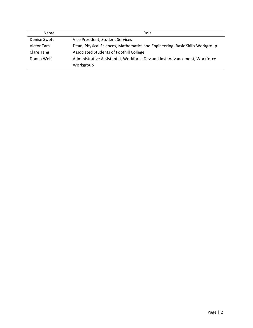| Name         | Role                                                                         |  |  |  |
|--------------|------------------------------------------------------------------------------|--|--|--|
| Denise Swett | Vice President, Student Services                                             |  |  |  |
| Victor Tam   | Dean, Physical Sciences, Mathematics and Engineering; Basic Skills Workgroup |  |  |  |
| Clare Tang   | Associated Students of Foothill College                                      |  |  |  |
| Donna Wolf   | Administrative Assistant II, Workforce Dev and Instl Advancement, Workforce  |  |  |  |
|              | Workgroup                                                                    |  |  |  |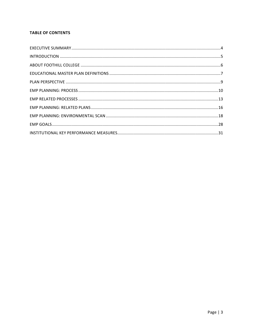# **TABLE OF CONTENTS**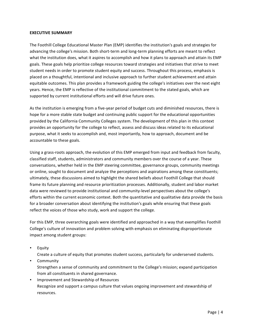## **EXECUTIVE SUMMARY**

The Foothill College Educational Master Plan (EMP) identifies the institution's goals and strategies for advancing the college's mission. Both short-term and long-term planning efforts are meant to reflect what the institution does, what it aspires to accomplish and how it plans to approach and attain its EMP goals. These goals help prioritize college resources toward strategies and initiatives that strive to meet student needs in order to promote student equity and success. Throughout this process, emphasis is placed on a thoughtful, intentional and inclusive approach to further student achievement and attain equitable outcomes. This plan provides a framework guiding the college's initiatives over the next eight years. Hence, the EMP is reflective of the institutional commitment to the stated goals, which are supported by current institutional efforts and will drive future ones.

As the institution is emerging from a five-year period of budget cuts and diminished resources, there is hope for a more stable state budget and continuing public support for the educational opportunities provided by the California Community Colleges system. The development of this plan in this context provides an opportunity for the college to reflect, assess and discuss ideas related to its educational purpose, what it seeks to accomplish and, most importantly, how to approach, document and be accountable to these goals.

Using a grass-roots approach, the evolution of this EMP emerged from input and feedback from faculty, classified staff, students, administrators and community members over the course of a year. These conversations, whether held in the EMP steering committee, governance groups, community meetings or online, sought to document and analyze the perceptions and aspirations among these constituents; ultimately, these discussions aimed to highlight the shared beliefs about Foothill College that should frame its future planning and resource prioritization processes. Additionally, student and labor market data were reviewed to provide institutional and community-level perspectives about the college's efforts within the current economic context. Both the quantitative and qualitative data provide the basis for a broader conversation about identifying the institution's goals while ensuring that these goals reflect the voices of those who study, work and support the college.

For this EMP, three overarching goals were identified and approached in a way that exemplifies Foothill' College's culture of innovation and problem solving with emphasis on eliminating disproportionate impact among student groups:

• Equity

Create a culture of equity that promotes student success, particularly for underserved students.

- Community Strengthen a sense of community and commitment to the College's mission; expand participation from all constituents in shared governance.
- Improvement and Stewardship of Resources Recognize and support a campus culture that values ongoing improvement and stewardship of resources.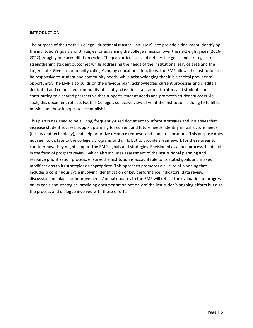## **INTRODUCTION**

The purpose of the Foothill College Educational Master Plan (EMP) is to provide a document identifying the institution's goals and strategies for advancing the college's mission over the next eight years (2016-2022) (roughly one accreditation cycle). The plan articulates and defines the goals and strategies for strengthening student outcomes while addressing the needs of the institutional service area and the larger state. Given a community college's many educational functions, the EMP allows the institution to be responsive to student and community needs, while acknowledging that it is a critical provider of opportunity. The EMP also builds on the previous plan, acknowledges current processes and credits a dedicated and committed community of faculty, classified staff, administrators and students for contributing to a shared perspective that supports student needs and promotes student success. As such, this document reflects Foothill College's collective view of what the institution is doing to fulfill its mission and how it hopes to accomplish it.

This plan is designed to be a living, frequently-used document to inform strategies and initiatives that increase student success, support planning for current and future needs, identify infrastructure needs (facility and technology), and help prioritize resource requests and budget allocations. This purpose does not seek to dictate to the college's programs and units but to provide a framework for these areas to consider how they might support the EMP's goals and strategies. Envisioned as a fluid process, feedback in the form of program review, which also includes assessment of the institutional planning and resource prioritization process, ensures the institution is accountable to its stated goals and makes modifications to its strategies as appropriate. This approach promotes a culture of planning that includes a continuous cycle involving identification of key performance indicators, data review, discussion and plans for improvement. Annual updates to the EMP will reflect the evaluation of progress on its goals and strategies, providing documentation not only of the institution's ongoing efforts but also the process and dialogue involved with these efforts.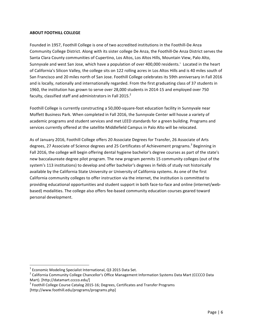## **ABOUT FOOTHILL COLLEGE**

Founded in 1957, Foothill College is one of two accredited institutions in the Foothill-De Anza Community College District. Along with its sister college De Anza, the Foothill-De Anza District serves the Santa Clara County communities of Cupertino, Los Altos, Los Altos Hills, Mountain View, Palo Alto, Sunnyvale and west San Jose, which have a population of over 400,000 residents.<sup>1</sup> Located in the heart of California's Silicon Valley, the college sits on 122 rolling acres in Los Altos Hills and is 40 miles south of San Francisco and 20 miles north of San Jose. Foothill College celebrates its 59th anniversary in Fall 2016 and is locally, nationally and internationally regarded. From the first graduating class of 37 students in 1960, the institution has grown to serve over 28,000 students in 2014-15 and employed over 750 faculty, classified staff and administrators in Fall 2015. $^2$ 

Foothill College is currently constructing a 50,000-square-foot education facility in Sunnyvale near Moffett Business Park. When completed in Fall 2016, the Sunnyvale Center will house a variety of academic programs and student services and met LEED standards for a green building. Programs and services currently offered at the satellite Middlefield Campus in Palo Alto will be relocated.

As of January 2016, Foothill College offers 20 Associate Degrees for Transfer, 26 Associate of Arts degrees, 27 Associate of Science degrees and 25 Certificates of Achievement programs.<sup>3</sup> Beginning in Fall 2016, the college will begin offering dental hygiene bachelor's degree courses as part of the state's new baccalaureate degree pilot program. The new program permits 15 community colleges (out of the system's 113 institutions) to develop and offer bachelor's degrees in fields of study not historically available by the California State University or University of California systems. As one of the first California community colleges to offer instruction via the internet, the institution is committed to providing educational opportunities and student support in both face-to-face and online (internet/webbased) modalities. The college also offers fee-based community education courses geared toward personal'development.

<sup>&</sup>lt;sup>1</sup> Economic Modeling Specialist International, Q3 2015 Data Set.<br><sup>2</sup> California Community College Chancellor's Office Management Information Systems Data Mart (CCCCO Data Mart). [http://datamart.cccco.edu/]<br><sup>3</sup> Foothill College Course Catalog 2015-16; Degrees, Certificates and Transfer Programs

<sup>[</sup>http://www.foothill.edu/programs/programs.php]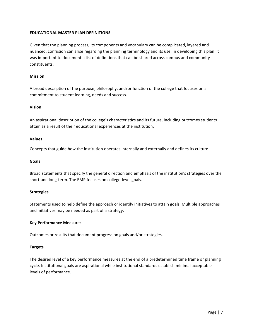## **EDUCATIONAL MASTER PLAN DEFINITIONS**

Given that the planning process, its components and vocabulary can be complicated, layered and nuanced, confusion can arise regarding the planning terminology and its use. In developing this plan, it was important to document a list of definitions that can be shared across campus and community constituents.

## **Mission**

A broad description of the purpose, philosophy, and/or function of the college that focuses on a commitment to student learning, needs and success.

### **Vision**

An aspirational description of the college's characteristics and its future, including outcomes students attain as a result of their educational experiences at the institution.

### **Values**

Concepts that guide how the institution operates internally and externally and defines its culture.

### **Goals**

Broad statements that specify the general direction and emphasis of the institution's strategies over the short-and long-term. The EMP focuses on college-level goals.

## **Strategies**

Statements used to help define the approach or identify initiatives to attain goals. Multiple approaches and initiatives may be needed as part of a strategy.

## **Key-Performance-Measures**

Outcomes or results that document progress on goals and/or strategies.

## **Targets**

The desired level of a key performance measures at the end of a predetermined time frame or planning cycle. Institutional goals are aspirational while institutional standards establish minimal acceptable levels of performance.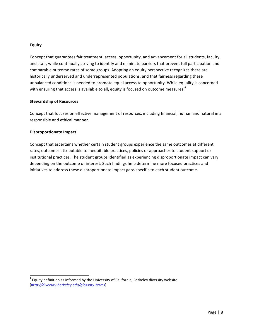#### **Equity**

Concept that guarantees fair treatment, access, opportunity, and advancement for all students, faculty, and staff, while continually striving to identify and eliminate barriers that prevent full participation and comparable outcome rates of some groups. Adopting an equity perspective recognizes there are historically underserved and underrepresented populations, and that fairness regarding these unbalanced conditions is needed to promote equal access to opportunity. While equality is concerned with ensuring that access is available to all, equity is focused on outcome measures.<sup>4</sup>

#### **Stewardship-of-Resources**

Concept that focuses on effective management of resources, including financial, human and natural in a responsible and ethical manner.

### **Disproportionate Impact**

Concept that ascertains whether certain student groups experience the same outcomes at different rates, outcomes attributable to inequitable practices, policies or approaches to student support or institutional practices. The student groups identified as experiencing disproportionate impact can vary depending on the outcome of interest. Such findings help determine more focused practices and initiatives to address these disproportionate impact gaps specific to each student outcome.

 $4$  Equity definition as informed by the University of California, Berkeley diversity website [http://diversity.berkeley.edu/glossary-terms]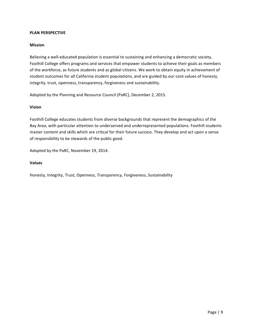#### **PLAN-PERSPECTIVE**

#### **Mission**

Believing a well-educated population is essential to sustaining and enhancing a democratic society, Foothill College offers programs and services that empower students to achieve their goals as members of the workforce, as future students and as global citizens. We work to obtain equity in achievement of student outcomes for all California student populations, and are guided by our core values of honesty, integrity, trust, openness, transparency, forgiveness and sustainability.

Adopted by the Planning and Resource Council (PaRC), December 2, 2015.

### **Vision**

Foothill College educates students from diverse backgrounds that represent the demographics of the Bay Area, with particular attention to underserved and underrepresented populations. Foothill students master content and skills which are critical for their future success. They develop and act upon a sense of responsibility to be stewards of the public good.

Adopted by the PaRC, November 19, 2014.

#### **Values**

Honesty, Integrity, Trust, Openness, Transparency, Forgiveness, Sustainability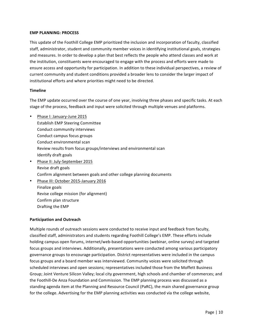#### **EMP-PLANNING: PROCESS**

This update of the Foothill College EMP prioritized the inclusion and incorporation of faculty, classified staff, administrator, student and community member voices in identifying institutional goals, strategies and measures. In order to develop a plan that best reflects the people who attend classes and work at the institution, constituents were encouraged to engage with the process and efforts were made to ensure access and opportunity for participation. In addition to these individual perspectives, a review of current community and student conditions provided a broader lens to consider the larger impact of institutional efforts and where priorities might need to be directed.

### **Timeline**

The EMP update occurred over the course of one year, involving three phases and specific tasks. At each stage of the process, feedback and input were solicited through multiple venues and platforms.

- Phase I: January-June 2015 Establish EMP Steering Committee Conduct community interviews Conduct campus focus groups Conduct environmental scan Review results from focus groups/interviews and environmental scan Identify draft goals • Phase II: July-September 2015
- Revise draft goals Confirm alignment between goals and other college planning documents
- Phase III: October 2015-January 2016 Finalize goals Revise college mission (for alignment) Confirm plan structure Drafting the EMP

## **Participation and Outreach**

Multiple rounds of outreach sessions were conducted to receive input and feedback from faculty, classified staff, administrators and students regarding Foothill College's EMP. These efforts include holding campus open forums, internet/web-based opportunities (webinar, online survey) and targeted focus groups and interviews. Additionally, presentations were conducted among various participatory governance groups to encourage participation. District representatives were included in the campus focus groups and a board member was interviewed. Community voices were solicited through scheduled interviews and open sessions; representatives included those from the Moffett Business Group; Joint Venture Silicon Valley; local city government, high schools and chamber of commerces; and the Foothill-De Anza Foundation and Commission. The EMP planning process was discussed as a standing agenda item at the Planning and Resource Council (PaRC), the main shared governance group for the college. Advertising for the EMP planning activities was conducted via the college website,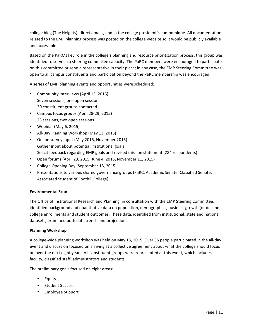college blog (The Heights), direct emails, and in the college president's communique. All documentation related to the EMP planning process was posted on the college website so it would be publicly available and'accessible.

Based on the PaRC's key role in the college's planning and resource prioritization process, this group was identified to serve in a steering committee capacity. The PaRC members were encouraged to participate on this committee or send a representative in their place; in any case, the EMP Steering Committee was open to all campus constituents and participation beyond the PaRC membership was encouraged.

A series of EMP planning events and opportunities were scheduled:

- Community interviews (April 13, 2015) Seven sessions, one open session 20 constituent groups contacted
- Campus focus groups (April 28-29, 2015) 23 sessions, two open sessions
- Webinar (May  $6, 2015$ )
- All-Day Planning Workshop (May 13, 2015)
- Online survey input (May 2015, November 2015) Gather input about potential institutional goals Solicit feedback regarding EMP goals and revised mission statement (284 respondents)
- Open forums (April 29, 2015, June 4, 2015, November 11, 2015)
- College Opening Day (September 18, 2015)
- Presentations to various shared governance groups (PaRC, Academic Senate, Classified Senate, Associated Student of Foothill College)

## **Environmental-Scan**

The Office of Institutional Research and Planning, in consultation with the EMP Steering Committee, identified background and quantitative data on population, demographics, business growth (or decline), college enrollments and student outcomes. These data, identified from institutional, state and national datasets, examined both data trends and projections.

## **Planning-Workshop**

A college-wide planning workshop was held on May 13, 2015. Over 35 people participated in the all-day event and discussion focused on arriving at a collective agreement about what the college should focus on over the next eight years. All constituent groups were represented at this event, which includes faculty, classified staff, administrators and students.

The preliminary goals focused on eight areas:

- **Equity**
- Student Success
- Employee Support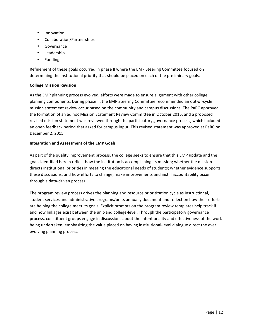- Innovation
- Collaboration/Partnerships
- Governance
- Leadership
- Funding

Refinement of these goals occurred in phase II where the EMP Steering Committee focused on determining the institutional priority that should be placed on each of the preliminary goals.

# **College-Mission-Revision**

As the EMP planning process evolved, efforts were made to ensure alignment with other college planning components. During phase II, the EMP Steering Committee recommended an out-of-cycle mission statement review occur based on the community and campus discussions. The PaRC approved the formation of an ad hoc Mission Statement Review Committee in October 2015, and a proposed revised mission statement was reviewed through the participatory governance process, which included an'open'feedback period that asked for campus input. This revised statement was approved at PaRC on December 2, 2015.

# **Integration-and-Assessment of-the-EMP-Goals**

As part of the quality improvement process, the college seeks to ensure that this EMP update and the goals identified herein reflect how the institution is accomplishing its mission; whether the mission directs institutional priorities in meeting the educational needs of students; whether evidence supports these discussions; and how efforts to change, make improvements and instill accountability occur through a data-driven process.

The program review process drives the planning and resource prioritization cycle as instructional, student services and administrative programs/units annually document and reflect on how their efforts are helping the college meet its goals. Explicit prompts on the program review templates help track if and how linkages exist between the unit-and college-level. Through the participatory governance process, constituent groups engage in discussions about the intentionality and effectiveness of the work being undertaken, emphasizing the value placed on having institutional-level dialogue direct the ever evolving planning process.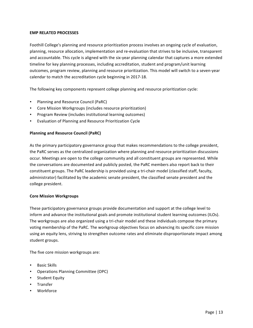## **EMP-RELATED-PROCESSES**

Foothill College's planning and resource prioritization process involves an ongoing cycle of evaluation, planning, resource allocation, implementation and re-evaluation that strives to be inclusive, transparent and accountable. This cycle is aligned with the six-year planning calendar that captures a more extended timeline for key planning processes, including accreditation, student and program/unit learning outcomes, program review, planning and resource prioritization. This model will switch to a seven-year calendar to match the accreditation cycle beginning in 2017-18.

The following key components represent college planning and resource prioritization cycle:

- Planning and Resource Council (PaRC)
- Core Mission Workgroups (includes resource prioritization)
- Program Review (includes institutional learning outcomes)
- Evaluation of Planning and Resource Prioritization Cycle

## **Planning and Resource Council (PaRC)**

As the primary participatory governance group that makes recommendations to the college president, the PaRC serves as the centralized organization where planning and resource prioritization discussions' occur. Meetings are open to the college community and all constituent groups are represented. While the conversations are documented and publicly posted, the PaRC members also report back to their constituent groups. The PaRC leadership is provided using a tri-chair model (classified staff, faculty, administrator) facilitated by the academic senate president, the classified senate president and the college president.

## **Core Mission Workgroups**

These participatory governance groups provide documentation and support at the college level to inform and advance the institutional goals and promote institutional student learning outcomes (ILOs). The workgroups are also organized using a tri-chair model and these individuals compose the primary voting membership of the PaRC. The workgroup objectives focus on advancing its specific core mission using an equity lens, striving to strengthen outcome rates and eliminate disproportionate impact among student groups.

The five core mission workgroups are:

- Basic Skills
- Operations Planning Committee (OPC)
- Student Equity
- Transfer
- Workforce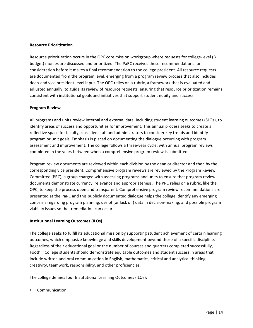#### **Resource-Prioritization**

Resource prioritization occurs in the OPC core mission workgroup where requests for college-level (B budget) monies are discussed and prioritized. The PaRC receives these recommendations for consideration before it makes a final recommendation to the college president. All resource requests are documented from the program level, emerging from a program review process that also includes dean-and vice president-level input. The OPC relies on a rubric, a framework that is evaluated and adjusted annually, to guide its review of resource requests, ensuring that resource prioritization remains' consistent with institutional goals and initiatives that support student equity and success.

### **Program Review**

All programs and units review internal and external data, including student learning outcomes (SLOs), to identify areas of success and opportunities for improvement. This annual process seeks to create a reflective space for faculty, classified staff and administrators to consider key trends and identify program or unit goals. Emphasis is placed on documenting the dialogue occurring with program assessment and improvement. The college follows a three-year cycle, with annual program reviews completed in the years between when a comprehensive program review is submitted.

Program review documents are reviewed within each division by the dean or director and then by the corresponding vice president. Comprehensive program reviews are reviewed by the Program Review Committee (PRC), a group charged with assessing programs and units to ensure that program review documents' demonstrate currency, relevance and appropriateness. The PRC relies on a rubric, like the OPC, to keep the process open and transparent. Comprehensive program review recommendations are presented at the PaRC and this publicly documented dialogue helps the college identify any emerging concerns' regarding program planning, use of (or lack of) data in decision-making, and possible program viability issues so that remediation can occur.

## **Institutional Learning Outcomes (ILOs)**

The college seeks to fulfill its educational mission by supporting student achievement of certain learning outcomes, which emphasize knowledge and skills development beyond those of a specific discipline. Regardless of their educational goal or the number of courses and quarters completed successfully, Foothill College students should demonstrate equitable outcomes and student success in areas that include written and oral communication in English, mathematics, critical and analytical thinking, creativity, teamwork, responsibility, and other proficiencies.

The college defines four Institutional Learning Outcomes (ILOs):

• Communication''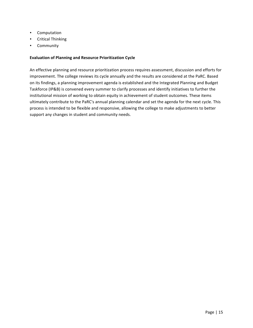- Computation''
- Critical Thinking
- Community

## **Evaluation of Planning and Resource Prioritization Cycle**

An effective planning and resource prioritization process requires assessment, discussion and efforts for improvement. The college reviews its cycle annually and the results are considered at the PaRC. Based on its findings, a planning improvement agenda is established and the Integrated Planning and Budget Taskforce (IP&B) is convened every summer to clarify processes and identify initiatives to further the institutional mission of working to obtain equity in achievement of student outcomes. These items ultimately contribute to the PaRC's annual planning calendar and set the agenda for the next cycle. This process is intended to be flexible and responsive, allowing the college to make adjustments to better support any changes in student and community needs.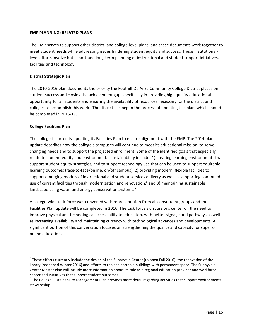## **EMP PLANNING: RELATED PLANS**

The EMP serves to support other district- and college-level plans, and these documents work together to meet student needs while addressing issues hindering student equity and success. These institutionallevel efforts involve both short-and long-term planning of instructional and student support initiatives, facilities and technology.

## **District Strategic Plan**

The 2010-2016 plan documents the priority the Foothill-De Anza Community College District places on student success and closing the achievement gap; specifically in providing high quality educational opportunity for all students and ensuring the availability of resources necessary for the district and colleges to accomplish this work. The district has begun the process of updating this plan, which should be completed in 2016-17.

## **College-Facilities-Plan**

The college is currently updating its Facilities Plan to ensure alignment with the EMP. The 2014 plan update describes how the college's campuses will continue to meet its educational mission, to serve changing needs and to support the projected enrollment. Some of the identified goals that especially relate to student equity and environmental sustainability include: 1) creating learning environments that support student equity strategies, and to support technology use that can be used to support equitable learning outcomes (face-to-face/online, on/off campus); 2) providing modern, flexible facilities to support emerging models of instructional and student services delivery as well as supporting continued use of current facilities through modernization and renovation;<sup>5</sup> and 3) maintaining sustainable landscape using water and energy conservation systems.<sup>6</sup>

A college-wide task force was convened with representation from all constituent groups and the Facilities Plan update will be completed in 2016. The task force's discussions center on the need to improve physical and technological accessibility to education, with better signage and pathways as well as increasing availability and maintaining currency with technological advances and developments. A significant portion of this conversation focuses on strengthening the quality and capacity for superior online'education.

 $<sup>5</sup>$  These efforts currently include the design of the Sunnyvale Center (to open Fall 2016), the renovation of the</sup> library (reopened Winter 2016) and efforts to replace portable buildings with permanent space. The Sunnyvale Center Master Plan will include more information about its role as a regional education provider and workforce center and initiatives that support student outcomes.

 $6$ The College Sustainability Management Plan provides more detail regarding activities that support environmental stewardship.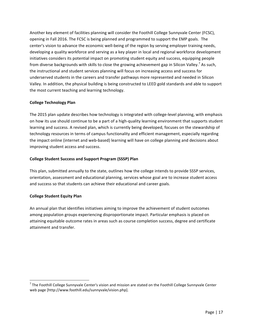Another key element of facilities planning will consider the Foothill College Sunnyvale Center (FCSC), opening in Fall 2016. The FCSC is being planned and programmed to support the EMP goals. The center's vision to advance the economic well-being of the region by serving employer training needs, developing a quality workforce and serving as a key player in local and regional workforce development initiatives considers its potential impact on promoting student equity and success, equipping people from diverse backgrounds with skills to close the growing achievement gap in Silicon Valley.<sup>7</sup> As such, the instructional and student services planning will focus on increasing access and success for underserved students in the careers and transfer pathways more represented and needed in Silicon Valley. In addition, the physical building is being constructed to LEED gold standards and able to support the most current teaching and learning technology.

# **College-Technology-Plan**

The 2015 plan update describes how technology is integrated with college-level planning, with emphasis on how its use should continue to be a part of a high-quality learning environment that supports student learning and success. A revised plan, which is currently being developed, focuses on the stewardship of technology resources in terms of campus functionality and efficient management, especially regarding the impact online (internet and web-based) learning will have on college planning and decisions about improving student access and success.

## **College-Student-Success-and-Support-Program-(SSSP)-Plan**

This plan, submitted annually to the state, outlines how the college intends to provide SSSP services, orientation, assessment and educational planning, services whose goal are to increase student access and success so that students can achieve their educational and career goals.

## **College Student Equity Plan**

An annual plan that identifies initiatives aiming to improve the achievement of student outcomes among population groups experiencing disproportionate impact. Particular emphasis is placed on attaining equitable outcome rates in areas such as course completion success, degree and certificate attainment and transfer.

 $<sup>7</sup>$  The Foothill College Sunnyvale Center's vision and mission are stated on the Foothill College Sunnyvale Center</sup> web page [http://www.foothill.edu/sunnyvale/vision.php].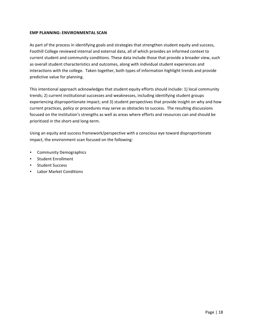## **EMP PLANNING: ENVIRONMENTAL SCAN**

As part of the process in identifying goals and strategies that strengthen student equity and success, Foothill College reviewed internal and external data, all of which provides an informed context to current student and community conditions. These data include those that provide a broader view, such as overall student characteristics and outcomes, along with individual student experiences and interactions with the college. Taken together, both types of information highlight trends and provide predictive value for planning.

This intentional approach acknowledges that student equity efforts should include: 1) local community trends; 2) current institutional successes and weaknesses, including identifying student groups experiencing disproportionate impact; and 3) student perspectives that provide insight on why and how current practices, policy or procedures may serve as obstacles to success. The resulting discussions' focused on the institution's strengths as well as areas where efforts and resources can and should be prioritized in the short-and long-term.

Using an equity and success framework/perspective with a conscious eye toward disproportionate impact, the environment scan focused on the following:

- Community Demographics
- Student Enrollment
- Student Success
- Labor Market Conditions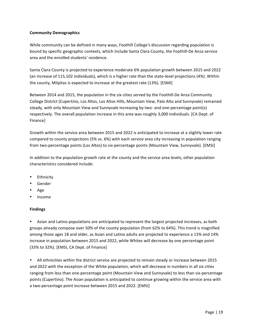## **Community-Demographics**

While community can be defined in many ways, Foothill College's discussion regarding population is bound by specific geographic contexts, which include Santa Clara County, the Foothill-De Anza service area and the enrolled students' residence.

Santa Clara County is projected to experience moderate 6% population growth between 2015 and 2022 (an increase of 115,102 individuals), which is a higher rate than the state-level projections (4%). Within the county, Milpitas is expected to increase at the greatest rate (13%). [ESMI]

Between 2014 and 2015, the population in the six cities served by the Foothill-De Anza Community College District (Cupertino, Los Altos, Los Altos Hills, Mountain View, Palo Alto and Sunnyvale) remained steady, with only Mountain View and Sunnyvale increasing by two- and one-percentage point(s) respectively. The overall population increase in this area was roughly 3,000 individuals. [CA Dept. of Finance]

Growth within the service area between 2015 and 2022 is anticipated to increase at a slightly lower rate compared to county projections (5% vs. 6%) with each service area city increasing in population ranging from two-percentage points (Los Altos) to six-percentage points (Mountain View, Sunnyvale). [EMSI]

In addition to the population growth rate at the county and the service area levels, other population characteristics considered include:

- Ethnicity
- Gender
- Age
- Income

# **Findings**

Asian and Latino populations are anticipated to represent the largest projected increases, as both groups already compose over 50% of the county population (from 62% to 64%). This trend is magnified among those ages 18 and older, as Asian and Latino adults are projected to experience a 13% and 14% increase in population between 2015 and 2022, while Whites will decrease by one percentage point (33% to 32%). [EMSI, CA Dept. of Finance]

• All ethnicities within the district service are projected to remain steady or increase between 2015 and 2022 with the exception of the White population, which will decrease in numbers in all six cities ranging from less than one-percentage point (Mountain View and Sunnyvale) to less than six-percentage points (Cupertino). The Asian population is anticipated to continue growing within the service area with a two-percentage point increase between 2015 and 2022. [EMSI]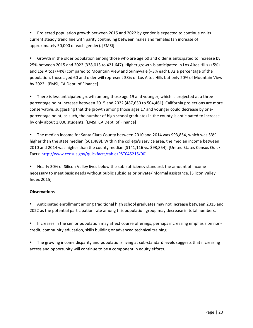• Projected population growth between 2015 and 2022 by gender is expected to continue on its current steady trend line with parity continuing between males and females (an increase of approximately 50,000 of each gender). [EMSI]

Growth in the older population among those who are age 60 and older is anticipated to increase by 25% between 2015 and 2022 (338,013 to 421,647). Higher growth is anticipated in Los Altos Hills (+5%) and Los Altos (+4%) compared to Mountain View and Sunnyvale (+3% each). As a percentage of the population, those aged 60 and older will represent 38% of Los Altos Hills but only 20% of Mountain View by 2022. [EMSI, CA Dept. of Finance]

There is less anticipated growth among those age 19 and younger, which is projected at a threepercentage point increase between 2015 and 2022 (487,630 to 504,461). California projections are more conservative, suggesting that the growth among those ages 17 and younger could decrease by onepercentage point; as such, the number of high school graduates in the county is anticipated to increase by only about 1,000 students. [EMSI, CA Dept. of Finance]

• The median income for Santa Clara County between 2010 and 2014 was \$93,854, which was 53% higher than the state median (\$61,489). Within the college's service area, the median income between 2010 and 2014 was higher than the county median (\$141,116 vs. \$93,854). [United States Census Quick Facts: http://www.census.gov/quickfacts/table/PST045215/00]

Nearly 30% of Silicon Valley lives below the sub-sufficiency standard, the amount of income necessary to meet basic needs without public subsidies or private/informal assistance. [Silicon Valley' Index'2015]

# **Observations**

Anticipated enrollment among traditional high school graduates may not increase between 2015 and 2022 as the potential participation rate among this population group may decrease in total numbers.

• Increases in the senior population may affect course offerings, perhaps increasing emphasis on noncredit, community education, skills building or advanced technical training.

• The growing income disparity and populations living at sub-standard levels suggests that increasing access and opportunity will continue to be a component in equity efforts.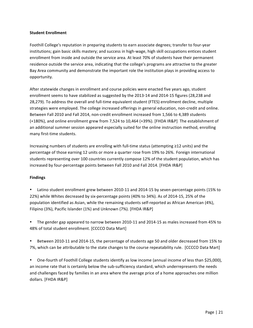### **Student Enrollment**

Foothill College's reputation in preparing students to earn associate degrees; transfer to four-year institutions; gain basic skills mastery; and success in high-wage, high skill occupations entices student enrollment from inside and outside the service area. At least 70% of students have their permanent residence outside the service area, indicating that the college's programs are attractive to the greater Bay Area community and demonstrate the important role the institution plays in providing access to opportunity.

After statewide changes in enrollment and course policies were enacted five years ago, student enrollment seems to have stabilized as suggested by the 2013-14 and 2014-15 figures (28,238 and 28,279). To address the overall and full-time equivalent student (FTES) enrollment decline, multiple strategies were employed. The college increased offerings in general education, non-credit and online. Between Fall 2010 and Fall 2014, non-credit enrollment increased from 1,566 to 4,389 students (+180%), and online enrollment grew from 7,524 to 10,464 (+39%). [FHDA IR&P] The establishment of an additional summer session appeared especially suited for the online instruction method, enrolling many first-time students.

Increasing numbers of students are enrolling with full-time status (attempting ≥12 units) and the percentage of those earning 12 units or more a quarter rose from 19% to 26%. Foreign international students representing over 100 countries currently compose 12% of the student population, which has increased by four-percentage points between Fall 2010 and Fall 2014. [FHDA IR&P]

## **Findings**

- Latino student enrollment grew between 2010-11 and 2014-15 by seven-percentage points (15% to 22%) while Whites decreased by six-percentage points (40% to 34%). As of 2014-15, 25% of the population identified as Asian, while the remaining students self-reported as African American (4%), Filipino (3%), Pacific Islander (1%) and Unknown (7%). [FHDA IR&P]
- The gender gap appeared to narrow between 2010-11 and 2014-15 as males increased from 45% to 48% of total student enrollment. [CCCCO Data Mart]
- Between 2010-11 and 2014-15, the percentage of students age 50 and older decreased from 15% to 7%, which can be attributable to the state changes to the course repeatability rule. [CCCCO Data Mart]
- One-fourth of Foothill College students identify as low income (annual income of less than \$25,000), an income rate that is certainly below the sub-sufficiency standard, which underrepresents the needs and challenges faced by families in an area where the average price of a home approaches one million dollars. [FHDA IR&P]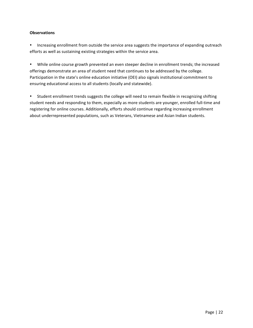## **Observations**

• Increasing enrollment from outside the service area suggests the importance of expanding outreach efforts as well as sustaining existing strategies within the service area.

• While online course growth prevented an even steeper decline in enrollment trends; the increased offerings demonstrate an area of student need that continues to be addressed by the college. Participation in the state's online education initiative (OEI) also signals institutional commitment to ensuring educational access to all students (locally and statewide).

• Student enrollment trends suggests the college will need to remain flexible in recognizing shifting student needs and responding to them, especially as more students are younger, enrolled full-time and registering for online courses. Additionally, efforts should continue regarding increasing enrollment about underrepresented populations, such as Veterans, Vietnamese and Asian Indian students.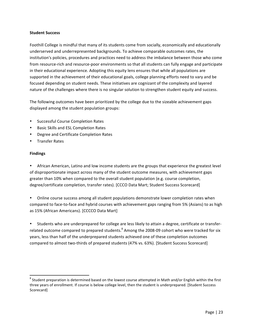#### **Student Success**

Foothill College is mindful that many of its students come from socially, economically and educationally underserved and underrepresented backgrounds. To achieve comparable outcomes rates, the institution's policies, procedures and practices need to address the imbalance between those who come from resource-rich and resource-poor environments so that all students can fully engage and participate in their educational experience. Adopting this equity lens ensures that while all populations are supported in the achievement of their educational goals, college planning efforts need to vary and be focused depending on student needs. These initiatives are cognizant of the complexity and layered nature of the challenges where there is no singular solution to strengthen student equity and success.

The following outcomes have been prioritized by the college due to the sizeable achievement gaps' displayed among the student population groups:

- Successful Course Completion Rates
- **Basic Skills and ESL Completion Rates**
- **Degree and Certificate Completion Rates**
- **Transfer Rates**

# **Findings**

African American, Latino and low income students are the groups that experience the greatest level of disproportionate impact across many of the student outcome measures, with achievement gaps greater than 10% when compared to the overall student population (e.g. course completion, degree/certificate completion, transfer rates). [CCCO Data Mart; Student Success Scorecard]

Online course success among all student populations demonstrate lower completion rates when' compared to face-to-face and hybrid courses with achievement gaps ranging from 5% (Asians) to as high as 15% (African Americans). [CCCCO Data Mart]

• Students who are underprepared for college are less likely to attain a degree, certificate or transferrelated outcome compared to prepared students.<sup>8</sup> Among the 2008-09 cohort who were tracked for six years, less than half of the underprepared students achieved one of these completion outcomes compared to almost two-thirds of prepared students (47% vs. 63%). [Student Success Scorecard]

 $8$  Student preparation is determined based on the lowest course attempted in Math and/or English within the first three years of enrollment. If course is below college level, then the student is underprepared. [Student Success Scorecard]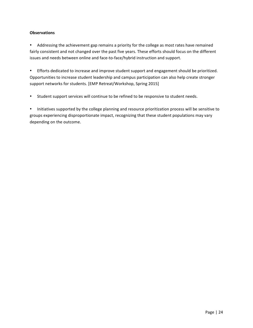# **Observations**

• Addressing the achievement gap remains a priority for the college as most rates have remained fairly consistent and not changed over the past five years. These efforts should focus on the different issues and needs between online and face-to-face/hybrid instruction and support.

• Efforts dedicated to increase and improve student support and engagement should be prioritized. Opportunities to increase student leadership and campus participation can also help create stronger support networks for students. [EMP Retreat/Workshop, Spring 2015]

• Student support services will continue to be refined to be responsive to student needs.

• Initiatives supported by the college planning and resource prioritization process will be sensitive to groups experiencing disproportionate impact, recognizing that these student populations may vary depending on the outcome.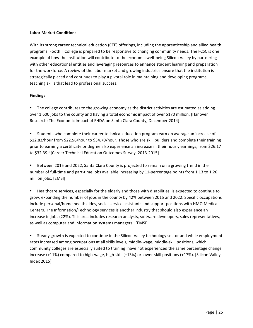## **Labor-Market-Conditions**

With its strong career technical education (CTE) offerings, including the apprenticeship and allied health programs, Foothill College is prepared to be responsive to changing community needs. The FCSC is one example of how the institution will contribute to the economic well-being Silicon Valley by partnering with other educational entities and leveraging resources to enhance student learning and preparation for the workforce. A review of the labor market and growing industries ensure that the institution is strategically placed and continues to play a pivotal role in maintaining and developing programs, teaching skills that lead to professional success.

## **Findings**

The college contributes to the growing economy as the district activities are estimated as adding over 1,600 jobs to the county and having a total economic impact of over \$170 million. [Hanover'] Research: The Economic Impact of FHDA on Santa Clara County, December 2014]

Students who complete their career technical education program earn on average an increase of \$12.83/hour from \$22.56/hour to \$34.70/hour. Those who are skill builders and complete their training prior to earning a certificate or degree also experience an increase in their hourly earnings, from \$26.17' to \$32.39.4 [Career Technical Education Outcomes Survey, 2013-2015]

Between 2015 and 2022, Santa Clara County is projected to remain on a growing trend in the number of full-time and part-time jobs available increasing by 11-percentage points from 1.13 to 1.26 million jobs. [EMSI]

Healthcare services, especially for the elderly and those with disabilities, is expected to continue to grow, expanding the number of jobs in the county by 42% between 2015 and 2022. Specific occupations include personal/home health aides, social service assistants and support positions with HMO Medical Centers. The Information/Technology services is another industry that should also experience an increase in jobs (22%). This area includes research analysts, software developers, sales representatives, as well as computer and information systems managers. [EMSI]

Steady growth is expected to continue in the Silicon Valley technology sector and while employment rates increased among occupations at all skills levels, middle-wage, middle-skill positions, which community colleges are especially suited to training, have not experienced the same percentage change increase (+11%) compared to high-wage, high-skill (+13%) or lower-skill positions (+17%). [Silicon Valley Index'2015]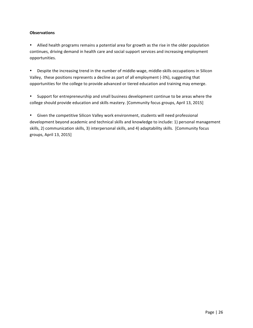## **Observations**

• Allied health programs remains a potential area for growth as the rise in the older population continues, driving demand in health care and social support services and increasing employment opportunities.

• Despite the increasing trend in the number of middle-wage, middle-skills occupations in Silicon Valley, these positions represents a decline as part of all employment (-3%), suggesting that opportunities for the college to provide advanced or tiered education and training may emerge.

• Support for entrepreneurship and small business development continue to be areas where the college should provide education and skills mastery. [Community focus groups, April 13, 2015]

• Given the competitive Silicon Valley work environment, students will need professional development beyond academic and technical skills and knowledge to include: 1) personal management skills, 2) communication skills, 3) interpersonal skills, and 4) adaptability skills. [Community focus groups, April 13, 2015]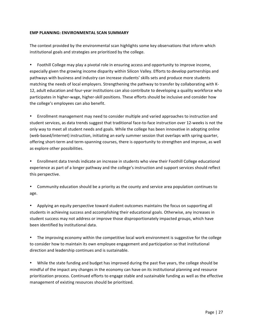## **EMP PLANNING: ENVIRONMENTAL SCAN SUMMARY**

The context provided by the environmental scan highlights some key observations that inform which institutional goals and strategies are prioritized by the college.

Foothill College may play a pivotal role in ensuring access and opportunity to improve income, especially given the growing income disparity within Silicon Valley. Efforts to develop partnerships and pathways with business and industry can increase students' skills sets and produce more students matching the needs of local employers. Strengthening the pathway to transfer by collaborating with K-12, adult education and four-year institutions can also contribute to developing a quality workforce who participates in higher-wage, higher-skill positions. These efforts should be inclusive and consider how the college's employees can also benefit.

• Enrollment management may need to consider multiple and varied approaches to instruction and student services, as data trends suggest that traditional face-to-face instruction over 12-weeks is not the only way to meet all student needs and goals. While the college has been innovative in adopting online (web-based/internet) instruction, initiating an early summer session that overlaps with spring quarter, offering short-term and term-spanning courses, there is opportunity to strengthen and improve, as well as explore other possibilities.

• Enrollment data trends indicate an increase in students who view their Foothill College educational experience as part of a longer pathway and the college's instruction and support services should reflect this perspective.

• Community education should be a priority as the county and service area population continues to age.

Applying an equity perspective toward student outcomes maintains the focus on supporting all students in achieving success and accomplishing their educational goals. Otherwise, any increases in student success may not address or improve those disproportionately impacted groups, which have been identified by institutional data.

The improving economy within the competitive local work environment is suggestive for the college to consider how to maintain its own employee engagement and participation so that institutional direction and leadership continues and is sustainable.

While the state funding and budget has improved during the past five years, the college should be mindful of the impact any changes in the economy can have on its institutional planning and resource prioritization process. Continued efforts to engage stable and sustainable funding as well as the effective management of existing resources should be prioritized.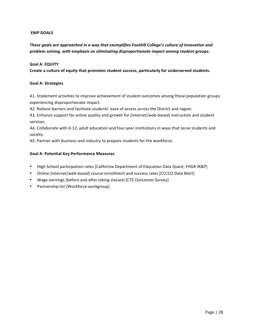## **EMP-GOALS**

These goals are approached in a way that exemplifies Foothill College's culture of innovation and *problem%solving,%with%emphasis%on%eliminating%disproportionate%impact%among%student%groups:*

### **Goal A: EQUITY**

Create a culture of equity that promotes student success, particularly for underserved students.

## Goal A: Strategies

A1. Implement activities to improve achievement of student outcomes among those population groups experiencing disproportionate impact.

A2. Reduce barriers and facilitate students' ease of access across the District and region.

A3. Enhance support for online quality and growth for (internet/web-based) instruction and student services.

A4. Collaborate with K-12, adult education and four-year institutions in ways that serve students and society.

A5. Partner with business and industry to prepare students for the workforce.

### Goal A: Potential Key Performance Measures

- High School participation rates [California Department of Education Data Quest; FHDA IR&P]
- Online (internet/web-based) course enrollment and success rates [CCCCO Data Mart]
- Wage earnings (before and after taking classes) [CTE Outcomes Survey]
- Partnership list [Workforce workgroup]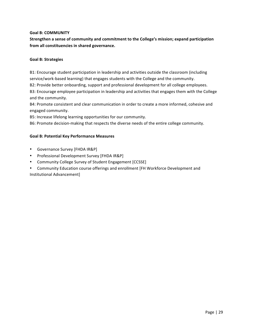## **Goal B: COMMUNITY**

Strengthen a sense of community and commitment to the College's mission; expand participation from all constituencies in shared governance.

## Goal B: Strategies

B1: Encourage student participation in leadership and activities outside the classroom (including) service/work-based learning) that engages students with the College and the community.

B2: Provide better onboarding, support and professional development for all college employees.

B3: Encourage employee participation in leadership and activities that engages them with the College and the community.

B4: Promote consistent and clear communication in order to create a more informed, cohesive and engaged'community.

B5: Increase lifelong learning opportunities for our community.

B6: Promote decision-making that respects the diverse needs of the entire college community.

# Goal B: Potential Key Performance Measures

- Governance Survey [FHDA IR&P]
- Professional Development Survey [FHDA IR&P]
- Community College Survey of Student Engagement [CCSSE]
- Community Education course offerings and enrollment [FH Workforce Development and Institutional Advancement]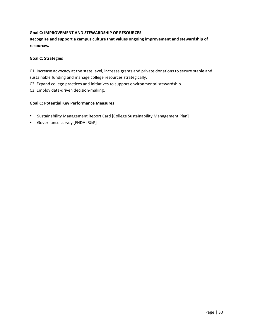# Goal C: IMPROVEMENT AND STEWARDSHIP OF RESOURCES

Recognize and support a campus culture that values ongoing improvement and stewardship of **resources.-**

## **Goal C: Strategies**

C1. Increase advocacy at the state level, increase grants and private donations to secure stable and sustainable funding and manage college resources strategically.

C2. Expand college practices and initiatives to support environmental stewardship.

C3. Employ data-driven decision-making.

## Goal C: Potential Key Performance Measures

- Sustainability Management Report Card [College Sustainability Management Plan]
- Governance survey [FHDA IR&P]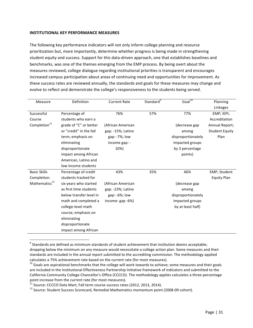### **INSTITUTIONAL KEY PERFORMANCE MEASURES**

The following key performance indicators will not only inform college planning and resource prioritization but, more importantly, determine whether progress is being made in strengthening student equity and success. Support for this data-driven approach, one that establishes baselines and benchmarks, was one of the themes emerging from the EMP process. By being overt about the measures reviewed, college dialogue regarding institutional priorities is transparent and encourages increased campus participation about areas of continuing need and opportunities for improvement. As these success rates are reviewed annually, the standards and goals for these measures may change and evolve to reflect and demonstrate the college's responsiveness to the students being served.

| Measure                   | Definition              | <b>Current Rate</b> | Standard <sup>9</sup> | Goal $\overline{10}$ | Planning              |
|---------------------------|-------------------------|---------------------|-----------------------|----------------------|-----------------------|
|                           |                         |                     |                       |                      | Linkages              |
| Successful                | Percentage of           | 76%                 | 57%                   | 77%                  | EMP; IEPI;            |
| Course                    | students who earn a     |                     |                       |                      | Accreditation         |
| Completion <sup>11</sup>  | grade of "C" or better  | (African American   |                       | (decrease gap        | Annual Report;        |
|                           | or "credit" in the fall | gap: -15%; Latino   |                       | among                | <b>Student Equity</b> |
|                           | term; emphasis on       | gap: -7%; low       |                       | disproportionately   | Plan                  |
|                           | eliminating             | income gap: -       |                       | impacted groups      |                       |
|                           | disproportionate        | 10%)                |                       | by 3 percentage      |                       |
|                           | impact among African    |                     |                       | points)              |                       |
|                           | American, Latino and    |                     |                       |                      |                       |
|                           | low income students     |                     |                       |                      |                       |
| <b>Basic Skills</b>       | Percentage of credit    | 43%                 | 35%                   | 46%                  | <b>EMP</b> ; Student  |
| Completion:               | students tracked for    |                     |                       |                      | <b>Equity Plan</b>    |
| Mathematics <sup>12</sup> | six years who started   | (African American   |                       | (decrease gap        |                       |
|                           | as first time students  | gap: -23%; Latino   |                       | among                |                       |
|                           | below transfer level in | gap: -6%; low       |                       | disproportionately   |                       |
|                           | math and completed a    | income: gap -6%)    |                       | impacted groups      |                       |
|                           | college-level math      |                     |                       | by at least half)    |                       |
|                           | course; emphasis on     |                     |                       |                      |                       |
|                           | eliminating             |                     |                       |                      |                       |
|                           | disproportionate        |                     |                       |                      |                       |
|                           | impact among African    |                     |                       |                      |                       |

 $9$  Standards are defined as minimum standards of student achievement that institution deems acceptable; dropping below the minimum on any measure would necessitate a college action plan. Some measures and their standards are included in the annual report submitted to the accrediting commission. The methodology applied

calculates a 75% achievement rate based on the current rate (for most measures).  $^{10}$  Goals are aspirational benchmarks that the college will work towards to achieve; some measures and their goals are included in the Institutional Effectiveness Partnership Initiative framework of indicators and submitted to the California Community College Chancellor's Office (CCCCO). The methodology applies calculates a three-percentage point increase from the current rate (for most measures).<br><sup>11</sup> Source: CCCCO Data Mart, Fall term course success rates (2012, 2013, 2014).

<sup>&</sup>lt;sup>12</sup> Source: Student Success Scorecard, Remedial Mathematics momentum point (2008-09 cohort).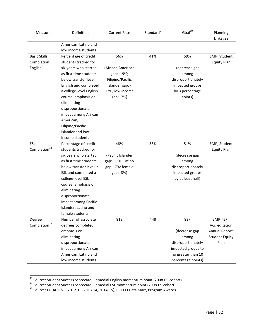| Measure                  | Definition              | <b>Current Rate</b> | Standard <sup>9</sup> | Goal <sup>10</sup> | Planning              |
|--------------------------|-------------------------|---------------------|-----------------------|--------------------|-----------------------|
|                          |                         |                     |                       |                    | Linkages              |
|                          | American, Latino and    |                     |                       |                    |                       |
|                          | low income students     |                     |                       |                    |                       |
| <b>Basic Skills</b>      | Percentage of credit    | 56%                 | 41%                   | 59%                | EMP; Student          |
| Completion:              | students tracked for    |                     |                       |                    | <b>Equity Plan</b>    |
| English <sup>13</sup>    | six years who started   | (African American   |                       | (decrease gap      |                       |
|                          | as first time students  | gap: -19%;          |                       | among              |                       |
|                          | below transfer level in | Filipino/Pacific    |                       | disproportionately |                       |
|                          | English and completed   | Islander gap: -     |                       | impacted groups    |                       |
|                          | a college-level English | 13%; low income     |                       | by 3 percentage    |                       |
|                          | course; emphasis on     | gap: -7%)           |                       | points)            |                       |
|                          | eliminating             |                     |                       |                    |                       |
|                          | disproportionate        |                     |                       |                    |                       |
|                          | impact among African    |                     |                       |                    |                       |
|                          | American,               |                     |                       |                    |                       |
|                          | Filipino/Pacific        |                     |                       |                    |                       |
|                          | Islander and low        |                     |                       |                    |                       |
|                          | income students         |                     |                       |                    |                       |
| ESL                      | Percentage of credit    | 48%                 | 33%                   | 51%                | EMP; Student          |
| Completion <sup>14</sup> | students tracked for    |                     |                       |                    | <b>Equity Plan</b>    |
|                          | six years who started   | (Pacific Islander   |                       | (decrease gap      |                       |
|                          | as first time students  | gap: -23%; Latino   |                       | among              |                       |
|                          | below transfer level in | gap: -7%; female    |                       | disproportionately |                       |
|                          | ESL and completed a     | gap: -3%)           |                       | impacted groups    |                       |
|                          | college-level ESL       |                     |                       | by at least half)  |                       |
|                          | course; emphasis on     |                     |                       |                    |                       |
|                          | eliminating             |                     |                       |                    |                       |
|                          | disproportionate        |                     |                       |                    |                       |
|                          | impact among Pacific    |                     |                       |                    |                       |
|                          | Islander, Latino and    |                     |                       |                    |                       |
|                          | female students         |                     |                       |                    |                       |
| Degree                   | Number of associate     | 813                 | 448                   | 837                | EMP; IEPI;            |
| Completion <sup>15</sup> | degrees completed;      |                     |                       |                    | Accreditation         |
|                          | emphasis on             |                     |                       | (decrease gap      | Annual Report;        |
|                          | eliminating             |                     |                       | among              | <b>Student Equity</b> |
|                          | disproportionate        |                     |                       | disproportionately | Plan                  |
|                          | impact among African    |                     |                       | impacted groups to |                       |
|                          | American, Latino and    |                     |                       | no greater than 10 |                       |
|                          | low income students     |                     |                       | percentage points) |                       |

<sup>&</sup>lt;sup>13</sup> Source: Student Success Scorecard, Remedial English momentum point (2008-09 cohort).<br><sup>14</sup> Source: Student Success Scorecard, Remedial ESL momentum point (2008-09 cohort).<br><sup>15</sup> Source: FHDA IR&P (2012-13, 2013-14, 2014